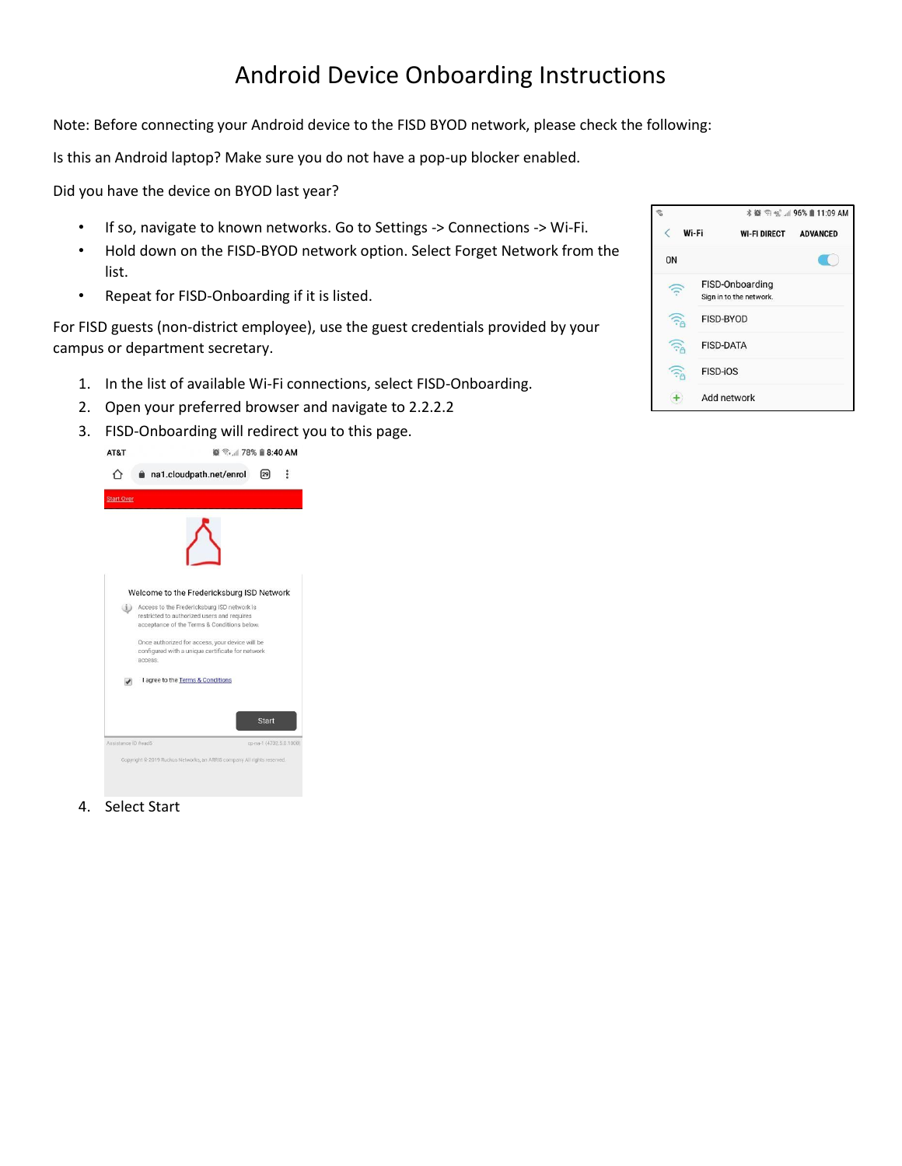## Android Device Onboarding Instructions

Note: Before connecting your Android device to the FISD BYOD network, please check the following:

Is this an Android laptop? Make sure you do not have a pop-up blocker enabled.

Did you have the device on BYOD last year?

- If so, navigate to known networks. Go to Settings -> Connections -> Wi-Fi.
- Hold down on the FISD-BYOD network option. Select Forget Network from the list.
- Repeat for FISD-Onboarding if it is listed.

For FISD guests (non-district employee), use the guest credentials provided by your campus or department secretary.

- 1. In the list of available Wi-Fi connections, select FISD-Onboarding.
- 2. Open your preferred browser and navigate to 2.2.2.2
- 3. FISD-Onboarding will redirect you to this page.



4. Select Start

| Wi-Fi          |                                            | <b>WI-FI DIRECT</b> | <b>ADVANCED</b> |
|----------------|--------------------------------------------|---------------------|-----------------|
| 0 <sub>N</sub> |                                            |                     |                 |
|                | FISD-Onboarding<br>Sign in to the network. |                     |                 |
|                | <b>FISD-BYOD</b>                           |                     |                 |
|                | <b>FISD-DATA</b>                           |                     |                 |
|                | <b>FISD-iOS</b>                            |                     |                 |
|                | Add network                                |                     |                 |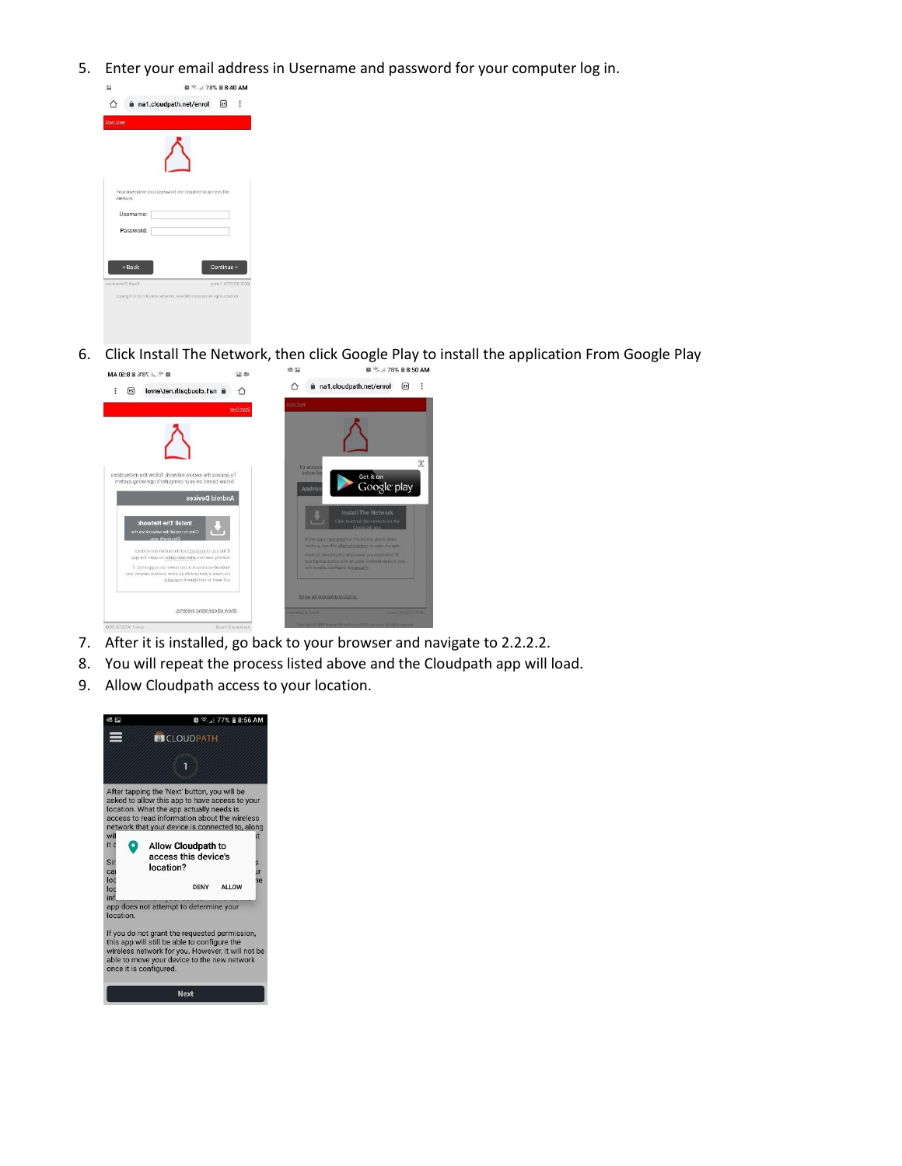5. Enter your email address in Username and password for your computer log in.



6. Click Install The Network, then click Google Play to install the application From Google Play **@ <sup>全</sup>.**..l 78% **ii** 8:50 AM  $\boxtimes$   $\otimes$ 



- 7. After it is installed, go back to your browser and navigate to 2.2.2.2.
- 8. You will repeat the process listed above and the Cloudpath app will load.
- 9. Allow Cloudpath access to your location.